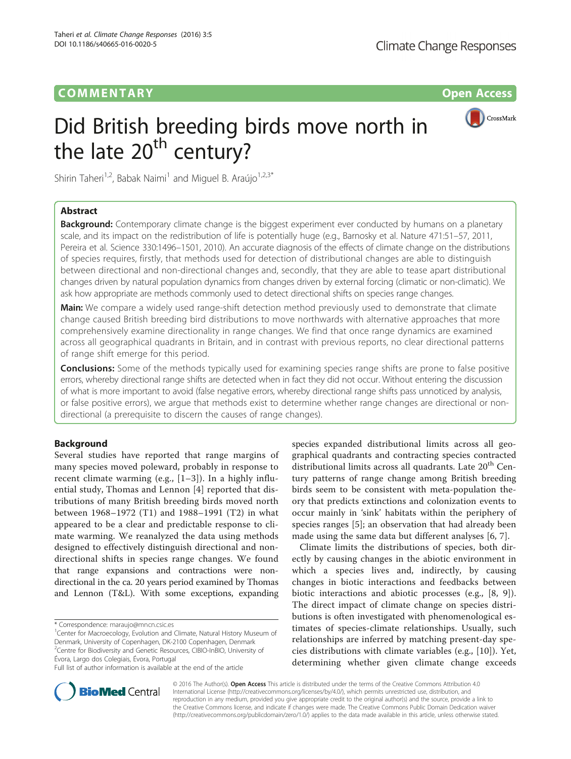# COMM EN TARY Open Access

# Did British breeding birds move north in the late  $20<sup>th</sup>$  century?



Shirin Taheri<sup>1,2</sup>, Babak Naimi<sup>1</sup> and Miguel B. Araújo<sup>1,2,3\*</sup>

# Abstract

**Background:** Contemporary climate change is the biggest experiment ever conducted by humans on a planetary scale, and its impact on the redistribution of life is potentially huge (e.g., Barnosky et al. Nature 471:51–57, 2011, Pereira et al. Science 330:1496–1501, 2010). An accurate diagnosis of the effects of climate change on the distributions of species requires, firstly, that methods used for detection of distributional changes are able to distinguish between directional and non-directional changes and, secondly, that they are able to tease apart distributional changes driven by natural population dynamics from changes driven by external forcing (climatic or non-climatic). We ask how appropriate are methods commonly used to detect directional shifts on species range changes.

Main: We compare a widely used range-shift detection method previously used to demonstrate that climate change caused British breeding bird distributions to move northwards with alternative approaches that more comprehensively examine directionality in range changes. We find that once range dynamics are examined across all geographical quadrants in Britain, and in contrast with previous reports, no clear directional patterns of range shift emerge for this period.

**Conclusions:** Some of the methods typically used for examining species range shifts are prone to false positive errors, whereby directional range shifts are detected when in fact they did not occur. Without entering the discussion of what is more important to avoid (false negative errors, whereby directional range shifts pass unnoticed by analysis, or false positive errors), we argue that methods exist to determine whether range changes are directional or nondirectional (a prerequisite to discern the causes of range changes).

## Background

Several studies have reported that range margins of many species moved poleward, probably in response to recent climate warming (e.g.,  $[1-3]$  $[1-3]$  $[1-3]$ ). In a highly influential study, Thomas and Lennon [[4\]](#page-3-0) reported that distributions of many British breeding birds moved north between 1968–1972 (T1) and 1988–1991 (T2) in what appeared to be a clear and predictable response to climate warming. We reanalyzed the data using methods designed to effectively distinguish directional and nondirectional shifts in species range changes. We found that range expansions and contractions were nondirectional in the ca. 20 years period examined by Thomas and Lennon (T&L). With some exceptions, expanding

\* Correspondence: [maraujo@mncn.csic.es](mailto:maraujo@mncn.csic.es) <sup>1</sup>

<sup>1</sup>Center for Macroecology, Evolution and Climate, Natural History Museum of Denmark, University of Copenhagen, DK-2100 Copenhagen, Denmark 2 Centre for Biodiversity and Genetic Resources, CIBIO-InBIO, University of Évora, Largo dos Colegiais, Évora, Portugal Full list of author information is available at the end of the article

species expanded distributional limits across all geographical quadrants and contracting species contracted distributional limits across all quadrants. Late 20<sup>th</sup> Century patterns of range change among British breeding birds seem to be consistent with meta-population theory that predicts extinctions and colonization events to occur mainly in 'sink' habitats within the periphery of species ranges [\[5](#page-3-0)]; an observation that had already been made using the same data but different analyses [\[6](#page-3-0), [7](#page-3-0)].

Climate limits the distributions of species, both directly by causing changes in the abiotic environment in which a species lives and, indirectly, by causing changes in biotic interactions and feedbacks between biotic interactions and abiotic processes (e.g., [[8, 9\]](#page-3-0)). The direct impact of climate change on species distributions is often investigated with phenomenological estimates of species-climate relationships. Usually, such relationships are inferred by matching present-day species distributions with climate variables (e.g., [\[10](#page-3-0)]). Yet, determining whether given climate change exceeds



© 2016 The Author(s). Open Access This article is distributed under the terms of the Creative Commons Attribution 4.0 International License [\(http://creativecommons.org/licenses/by/4.0/](http://creativecommons.org/licenses/by/4.0/)), which permits unrestricted use, distribution, and reproduction in any medium, provided you give appropriate credit to the original author(s) and the source, provide a link to the Creative Commons license, and indicate if changes were made. The Creative Commons Public Domain Dedication waiver [\(http://creativecommons.org/publicdomain/zero/1.0/](http://creativecommons.org/publicdomain/zero/1.0/)) applies to the data made available in this article, unless otherwise stated.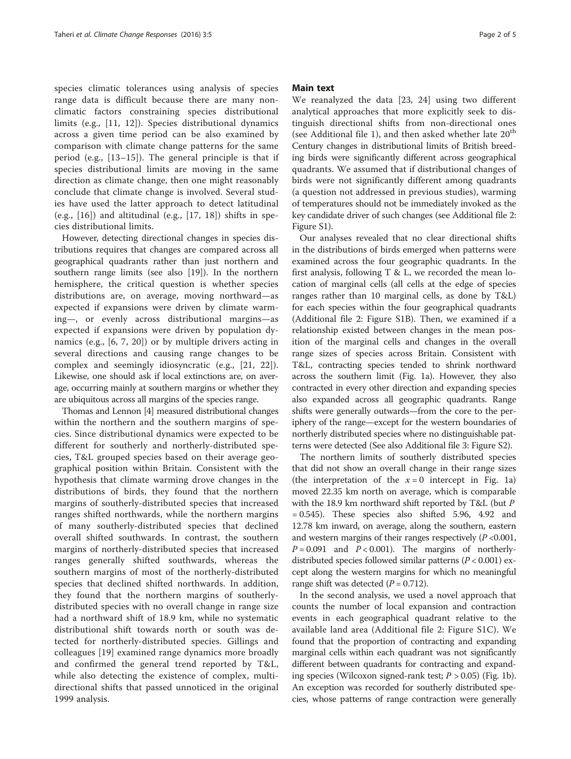species climatic tolerances using analysis of species range data is difficult because there are many nonclimatic factors constraining species distributional limits (e.g., [[11](#page-3-0), [12](#page-3-0)]). Species distributional dynamics across a given time period can be also examined by comparison with climate change patterns for the same period (e.g., [\[13](#page-3-0)–[15\]](#page-3-0)). The general principle is that if species distributional limits are moving in the same direction as climate change, then one might reasonably conclude that climate change is involved. Several studies have used the latter approach to detect latitudinal (e.g.,  $[16]$  $[16]$ ) and altitudinal (e.g.,  $[17, 18]$  $[17, 18]$  $[17, 18]$ ) shifts in species distributional limits.

However, detecting directional changes in species distributions requires that changes are compared across all geographical quadrants rather than just northern and southern range limits (see also [[19\]](#page-3-0)). In the northern hemisphere, the critical question is whether species distributions are, on average, moving northward—as expected if expansions were driven by climate warming—, or evenly across distributional margins—as expected if expansions were driven by population dynamics (e.g., [[6, 7, 20](#page-3-0)]) or by multiple drivers acting in several directions and causing range changes to be complex and seemingly idiosyncratic (e.g., [[21, 22\]](#page-3-0)). Likewise, one should ask if local extinctions are, on average, occurring mainly at southern margins or whether they are ubiquitous across all margins of the species range.

Thomas and Lennon [\[4\]](#page-3-0) measured distributional changes within the northern and the southern margins of species. Since distributional dynamics were expected to be different for southerly and northerly-distributed species, T&L grouped species based on their average geographical position within Britain. Consistent with the hypothesis that climate warming drove changes in the distributions of birds, they found that the northern margins of southerly-distributed species that increased ranges shifted northwards, while the northern margins of many southerly-distributed species that declined overall shifted southwards. In contrast, the southern margins of northerly-distributed species that increased ranges generally shifted southwards, whereas the southern margins of most of the northerly-distributed species that declined shifted northwards. In addition, they found that the northern margins of southerlydistributed species with no overall change in range size had a northward shift of 18.9 km, while no systematic distributional shift towards north or south was detected for northerly-distributed species. Gillings and colleagues [[19\]](#page-3-0) examined range dynamics more broadly and confirmed the general trend reported by T&L, while also detecting the existence of complex, multidirectional shifts that passed unnoticed in the original 1999 analysis.

## Main text

We reanalyzed the data [[23, 24](#page-3-0)] using two different analytical approaches that more explicitly seek to distinguish directional shifts from non-directional ones (see Additional file [1\)](#page-3-0), and then asked whether late  $20<sup>th</sup>$ Century changes in distributional limits of British breeding birds were significantly different across geographical quadrants. We assumed that if distributional changes of birds were not significantly different among quadrants (a question not addressed in previous studies), warming of temperatures should not be immediately invoked as the key candidate driver of such changes (see Additional file [2](#page-3-0): Figure S1).

Our analyses revealed that no clear directional shifts in the distributions of birds emerged when patterns were examined across the four geographic quadrants. In the first analysis, following T & L, we recorded the mean location of marginal cells (all cells at the edge of species ranges rather than 10 marginal cells, as done by T&L) for each species within the four geographical quadrants (Additional file [2:](#page-3-0) Figure S1B). Then, we examined if a relationship existed between changes in the mean position of the marginal cells and changes in the overall range sizes of species across Britain. Consistent with T&L, contracting species tended to shrink northward across the southern limit (Fig. [1a](#page-2-0)). However, they also contracted in every other direction and expanding species also expanded across all geographic quadrants. Range shifts were generally outwards—from the core to the periphery of the range—except for the western boundaries of northerly distributed species where no distinguishable patterns were detected (See also Additional file [3](#page-3-0): Figure S2).

The northern limits of southerly distributed species that did not show an overall change in their range sizes (the interpretation of the  $x = 0$  intercept in Fig. [1a](#page-2-0)) moved 22.35 km north on average, which is comparable with the 18.9 km northward shift reported by T&L (but P  $= 0.545$ ). These species also shifted 5.96, 4.92 and 12.78 km inward, on average, along the southern, eastern and western margins of their ranges respectively  $(P<0.001$ ,  $P = 0.091$  and  $P < 0.001$ ). The margins of northerlydistributed species followed similar patterns ( $P < 0.001$ ) except along the western margins for which no meaningful range shift was detected  $(P = 0.712)$ .

In the second analysis, we used a novel approach that counts the number of local expansion and contraction events in each geographical quadrant relative to the available land area (Additional file [2](#page-3-0): Figure S1C). We found that the proportion of contracting and expanding marginal cells within each quadrant was not significantly different between quadrants for contracting and expanding species (Wilcoxon signed-rank test;  $P > 0.05$ ) (Fig. [1b](#page-2-0)). An exception was recorded for southerly distributed species, whose patterns of range contraction were generally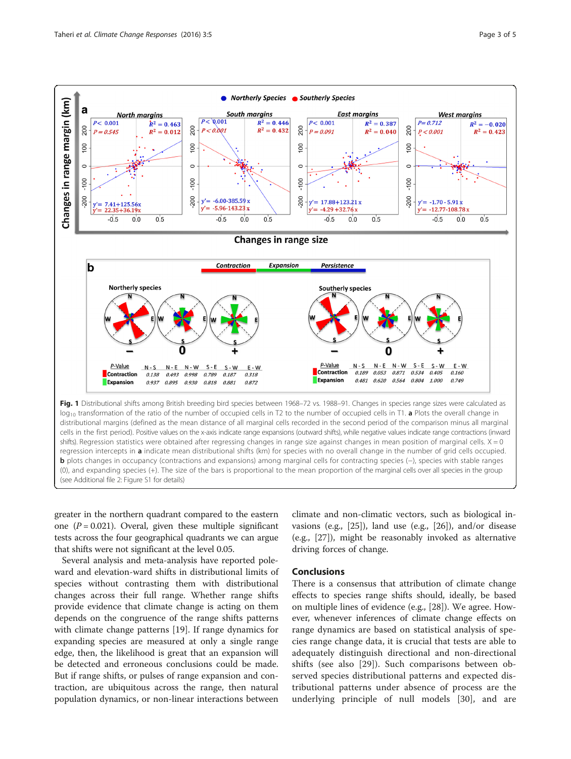<span id="page-2-0"></span>

greater in the northern quadrant compared to the eastern one  $(P = 0.021)$ . Overal, given these multiple significant tests across the four geographical quadrants we can argue that shifts were not significant at the level 0.05.

Several analysis and meta-analysis have reported poleward and elevation-ward shifts in distributional limits of species without contrasting them with distributional changes across their full range. Whether range shifts provide evidence that climate change is acting on them depends on the congruence of the range shifts patterns with climate change patterns [[19\]](#page-3-0). If range dynamics for expanding species are measured at only a single range edge, then, the likelihood is great that an expansion will be detected and erroneous conclusions could be made. But if range shifts, or pulses of range expansion and contraction, are ubiquitous across the range, then natural population dynamics, or non-linear interactions between

climate and non-climatic vectors, such as biological invasions (e.g., [\[25](#page-3-0)]), land use (e.g., [\[26\]](#page-3-0)), and/or disease (e.g., [\[27](#page-3-0)]), might be reasonably invoked as alternative driving forces of change.

## **Conclusions**

There is a consensus that attribution of climate change effects to species range shifts should, ideally, be based on multiple lines of evidence (e.g., [\[28](#page-4-0)]). We agree. However, whenever inferences of climate change effects on range dynamics are based on statistical analysis of species range change data, it is crucial that tests are able to adequately distinguish directional and non-directional shifts (see also [[29\]](#page-4-0)). Such comparisons between observed species distributional patterns and expected distributional patterns under absence of process are the underlying principle of null models [\[30](#page-4-0)], and are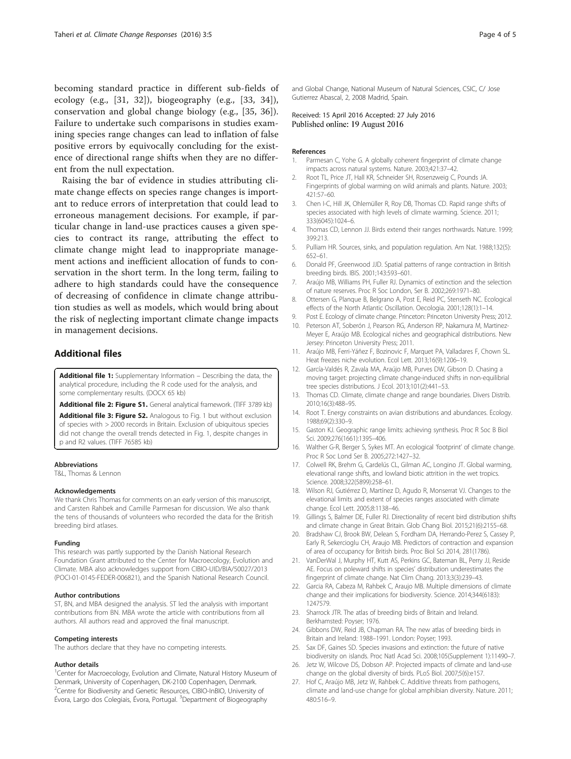<span id="page-3-0"></span>becoming standard practice in different sub-fields of ecology (e.g., [[31, 32\]](#page-4-0)), biogeography (e.g., [[33, 34\]](#page-4-0)), conservation and global change biology (e.g., [[35, 36\]](#page-4-0)). Failure to undertake such comparisons in studies examining species range changes can lead to inflation of false positive errors by equivocally concluding for the existence of directional range shifts when they are no different from the null expectation.

Raising the bar of evidence in studies attributing climate change effects on species range changes is important to reduce errors of interpretation that could lead to erroneous management decisions. For example, if particular change in land-use practices causes a given species to contract its range, attributing the effect to climate change might lead to inappropriate management actions and inefficient allocation of funds to conservation in the short term. In the long term, failing to adhere to high standards could have the consequence of decreasing of confidence in climate change attribution studies as well as models, which would bring about the risk of neglecting important climate change impacts in management decisions.

## Additional files

[Additional file 1:](dx.doi.org/10.1186/s40665-016-0020-5) Supplementary Information - Describing the data, the analytical procedure, including the R code used for the analysis, and some complementary results. (DOCX 65 kb)

[Additional file 2: Figure S1.](dx.doi.org/10.1186/s40665-016-0020-5) General analytical framework. (TIFF 3789 kb)

[Additional file 3: Figure S2.](dx.doi.org/10.1186/s40665-016-0020-5) Analogous to Fig. [1](#page-2-0) but without exclusion of species with > 2000 records in Britain. Exclusion of ubiquitous species did not change the overall trends detected in Fig. [1,](#page-2-0) despite changes in p and R2 values. (TIFF 76585 kb)

#### Abbreviations

T&L, Thomas & Lennon

#### Acknowledgements

We thank Chris Thomas for comments on an early version of this manuscript, and Carsten Rahbek and Camille Parmesan for discussion. We also thank the tens of thousands of volunteers who recorded the data for the British breeding bird atlases.

#### Funding

This research was partly supported by the Danish National Research Foundation Grant attributed to the Center for Macroecology, Evolution and Climate. MBA also acknowledges support from CIBIO-UID/BIA/50027/2013 (POCI-01-0145-FEDER-006821), and the Spanish National Research Council.

### Author contributions

ST, BN, and MBA designed the analysis. ST led the analysis with important contributions from BN. MBA wrote the article with contributions from all authors. All authors read and approved the final manuscript.

#### Competing interests

The authors declare that they have no competing interests.

#### Author details

<sup>1</sup>Center for Macroecology, Evolution and Climate, Natural History Museum of Denmark, University of Copenhagen, DK-2100 Copenhagen, Denmark. 2 Centre for Biodiversity and Genetic Resources, CIBIO-InBIO, University of Évora, Largo dos Colegiais, Évora, Portugal. <sup>3</sup>Department of Biogeography

and Global Change, National Museum of Natural Sciences, CSIC, C/ Jose Gutierrez Abascal, 2, 2008 Madrid, Spain.

Received: 15 April 2016 Accepted: 27 July 2016 Published online: 19 August 2016

#### References

- 1. Parmesan C, Yohe G. A globally coherent fingerprint of climate change impacts across natural systems. Nature. 2003;421:37–42.
- 2. Root TL, Price JT, Hall KR, Schneider SH, Rosenzweig C, Pounds JA. Fingerprints of global warming on wild animals and plants. Nature. 2003; 421:57–60.
- 3. Chen I-C, Hill JK, Ohlemüller R, Roy DB, Thomas CD. Rapid range shifts of species associated with high levels of climate warming. Science. 2011; 333(6045):1024–6.
- 4. Thomas CD, Lennon JJ. Birds extend their ranges northwards. Nature. 1999; 399:213.
- 5. Pulliam HR. Sources, sinks, and population regulation. Am Nat. 1988;132(5): 652–61.
- 6. Donald PF, Greenwood JJD. Spatial patterns of range contraction in British breeding birds. IBIS. 2001;143:593–601.
- 7. Araújo MB, Williams PH, Fuller RJ. Dynamics of extinction and the selection of nature reserves. Proc R Soc London, Ser B. 2002;269:1971–80.
- 8. Ottersen G, Planque B, Belgrano A, Post E, Reid PC, Stenseth NC. Ecological effects of the North Atlantic Oscillation. Oecologia. 2001;128(1):1–14.
- 9. Post E. Ecology of climate change. Princeton: Princeton University Press; 2012.
- 10. Peterson AT, Soberón J, Pearson RG, Anderson RP, Nakamura M, Martinez-Meyer E, Araújo MB. Ecological niches and geographical distributions. New Jersey: Princeton University Press; 2011.
- 11. Araújo MB, Ferri-Yáñez F, Bozinovic F, Marquet PA, Valladares F, Chown SL. Heat freezes niche evolution. Ecol Lett. 2013;16(9):1206–19.
- 12. García-Valdés R, Zavala MA, Araújo MB, Purves DW, Gibson D. Chasing a moving target: projecting climate change-induced shifts in non-equilibrial tree species distributions. J Ecol. 2013;101(2):441–53.
- 13. Thomas CD. Climate, climate change and range boundaries. Divers Distrib. 2010;16(3):488–95.
- 14. Root T. Energy constraints on avian distributions and abundances. Ecology. 1988;69(2):330–9.
- 15. Gaston KJ. Geographic range limits: achieving synthesis. Proc R Soc B Biol Sci. 2009;276(1661):1395–406.
- 16. Walther G-R, Berger S, Sykes MT. An ecological 'footprint' of climate change. Proc R Soc Lond Ser B. 2005;272:1427–32.
- 17. Colwell RK, Brehm G, Cardelús CL, Gilman AC, Longino JT. Global warming, elevational range shifts, and lowland biotic attrition in the wet tropics. Science. 2008;322(5899):258–61.
- 18. Wilson RJ, Gutiérrez D, Martínez D, Agudo R, Monserrat VJ. Changes to the elevational limits and extent of species ranges associated with climate change. Ecol Lett. 2005;8:1138–46.
- 19. Gillings S, Balmer DE, Fuller RJ. Directionality of recent bird distribution shifts and climate change in Great Britain. Glob Chang Biol. 2015;21(6):2155–68.
- 20. Bradshaw CJ, Brook BW, Delean S, Fordham DA, Herrando-Perez S, Cassey P, Early R, Sekercioglu CH, Araujo MB. Predictors of contraction and expansion of area of occupancy for British birds. Proc Biol Sci 2014, 281(1786).
- 21. VanDerWal J, Murphy HT, Kutt AS, Perkins GC, Bateman BL, Perry JJ, Reside AE. Focus on poleward shifts in species' distribution underestimates the fingerprint of climate change. Nat Clim Chang. 2013;3(3):239–43.
- 22. Garcia RA, Cabeza M, Rahbek C, Araujo MB. Multiple dimensions of climate change and their implications for biodiversity. Science. 2014;344(6183): 1247579.
- 23. Sharrock JTR. The atlas of breeding birds of Britain and Ireland. Berkhamsted: Poyser; 1976.
- 24. Gibbons DW, Reid JB, Chapman RA. The new atlas of breeding birds in Britain and Ireland: 1988–1991. London: Poyser; 1993.
- 25. Sax DF, Gaines SD. Species invasions and extinction: the future of native biodiversity on islands. Proc Natl Acad Sci. 2008;105(Supplement 1):11490–7.
- 26. Jetz W, Wilcove DS, Dobson AP. Projected impacts of climate and land-use change on the global diversity of birds. PLoS Biol. 2007;5(6):e157.
- 27. Hof C, Araújo MB, Jetz W, Rahbek C. Additive threats from pathogens, climate and land-use change for global amphibian diversity. Nature. 2011; 480:516–9.